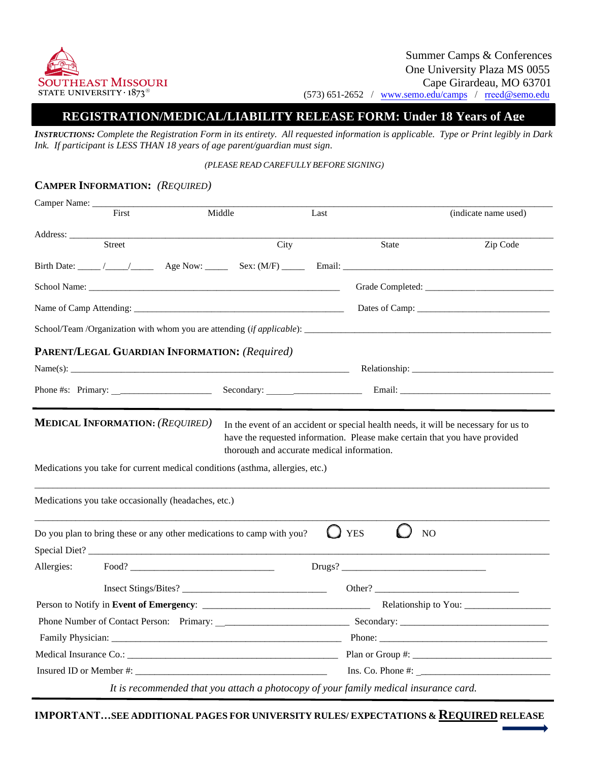

# **REGISTRATION/MEDICAL/LIABILITY RELEASE FORM: Under 18 Years of Age**

*INSTRUCTIONS: Complete the Registration Form in its entirety. All requested information is applicable. Type or Print legibly in Dark Ink. If participant is LESS THAN 18 years of age parent/guardian must sign.* 

#### *(PLEASE READ CAREFULLY BEFORE SIGNING)*

# **CAMPER INFORMATION:** *(REQUIRED)*

| Camper Name: ____                                                                                                                                                                                                                                                                                              |       |                                                                                      |      |      |                                |                                                                                |  |
|----------------------------------------------------------------------------------------------------------------------------------------------------------------------------------------------------------------------------------------------------------------------------------------------------------------|-------|--------------------------------------------------------------------------------------|------|------|--------------------------------|--------------------------------------------------------------------------------|--|
|                                                                                                                                                                                                                                                                                                                | First | Middle                                                                               |      | Last |                                | (indicate name used)                                                           |  |
| Address:                                                                                                                                                                                                                                                                                                       |       |                                                                                      |      |      |                                |                                                                                |  |
| <b>Street</b>                                                                                                                                                                                                                                                                                                  |       |                                                                                      | City |      | State                          | Zip Code                                                                       |  |
|                                                                                                                                                                                                                                                                                                                |       |                                                                                      |      |      |                                |                                                                                |  |
|                                                                                                                                                                                                                                                                                                                |       |                                                                                      |      |      |                                |                                                                                |  |
|                                                                                                                                                                                                                                                                                                                |       |                                                                                      |      |      |                                |                                                                                |  |
|                                                                                                                                                                                                                                                                                                                |       |                                                                                      |      |      |                                | School/Team /Organization with whom you are attending <i>(if applicable)</i> : |  |
|                                                                                                                                                                                                                                                                                                                |       | PARENT/LEGAL GUARDIAN INFORMATION: (Required)                                        |      |      |                                |                                                                                |  |
|                                                                                                                                                                                                                                                                                                                |       |                                                                                      |      |      |                                | Relationship:                                                                  |  |
|                                                                                                                                                                                                                                                                                                                |       | Phone #s: Primary: $\frac{1}{2}$ Phone #s: Primary:                                  |      |      |                                |                                                                                |  |
|                                                                                                                                                                                                                                                                                                                |       | Medications you take occasionally (headaches, etc.)                                  |      |      |                                |                                                                                |  |
|                                                                                                                                                                                                                                                                                                                |       | Do you plan to bring these or any other medications to camp with you?                |      |      | <b>YES</b>                     | NO                                                                             |  |
|                                                                                                                                                                                                                                                                                                                |       |                                                                                      |      |      |                                |                                                                                |  |
| Allergies:                                                                                                                                                                                                                                                                                                     |       | Food?                                                                                |      |      |                                |                                                                                |  |
|                                                                                                                                                                                                                                                                                                                |       | Insect Stings/Bites?                                                                 |      |      |                                | Other?                                                                         |  |
|                                                                                                                                                                                                                                                                                                                |       |                                                                                      |      |      |                                |                                                                                |  |
|                                                                                                                                                                                                                                                                                                                |       |                                                                                      |      |      |                                |                                                                                |  |
|                                                                                                                                                                                                                                                                                                                |       |                                                                                      |      |      |                                |                                                                                |  |
| Medical Insurance Co.: Plan or Group #:                                                                                                                                                                                                                                                                        |       |                                                                                      |      |      |                                |                                                                                |  |
| Insured ID or Member #: $\frac{1}{2}$ $\frac{1}{2}$ $\frac{1}{2}$ $\frac{1}{2}$ $\frac{1}{2}$ $\frac{1}{2}$ $\frac{1}{2}$ $\frac{1}{2}$ $\frac{1}{2}$ $\frac{1}{2}$ $\frac{1}{2}$ $\frac{1}{2}$ $\frac{1}{2}$ $\frac{1}{2}$ $\frac{1}{2}$ $\frac{1}{2}$ $\frac{1}{2}$ $\frac{1}{2}$ $\frac{1}{2}$ $\frac{1}{2$ |       |                                                                                      |      |      | $Ins. Co. Phone #: __________$ |                                                                                |  |
|                                                                                                                                                                                                                                                                                                                |       | It is recommended that you attach a photocopy of your family medical insurance card. |      |      |                                |                                                                                |  |

**IMPORTANT…SEE ADDITIONAL PAGES FOR UNIVERSITY RULES/ EXPECTATIONS & REQUIRED RELEASE**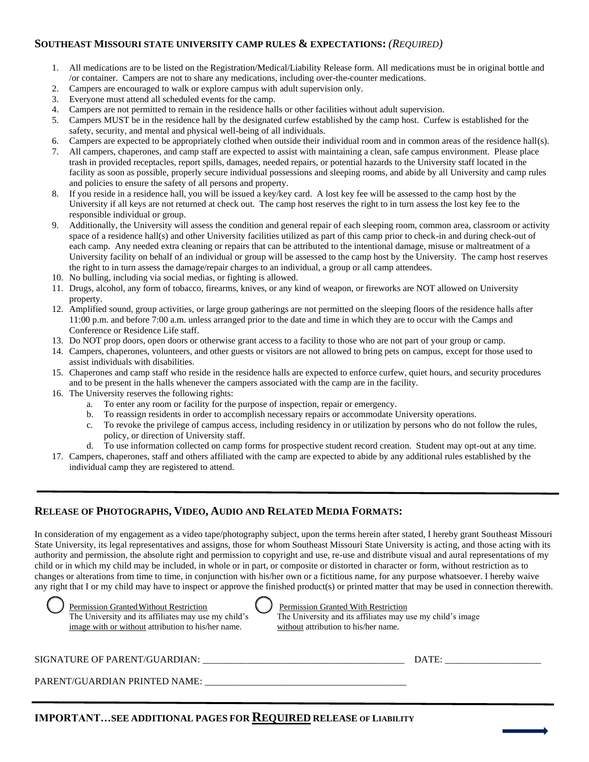## **SOUTHEAST MISSOURI STATE UNIVERSITY CAMP RULES & EXPECTATIONS:** *(REQUIRED)*

- 1. All medications are to be listed on the Registration/Medical/Liability Release form. All medications must be in original bottle and /or container. Campers are not to share any medications, including over-the-counter medications.
- 2. Campers are encouraged to walk or explore campus with adult supervision only.
- 3. Everyone must attend all scheduled events for the camp.
- 4. Campers are not permitted to remain in the residence halls or other facilities without adult supervision.
- 5. Campers MUST be in the residence hall by the designated curfew established by the camp host. Curfew is established for the safety, security, and mental and physical well-being of all individuals.
- 6. Campers are expected to be appropriately clothed when outside their individual room and in common areas of the residence hall(s).
- 7. All campers, chaperones, and camp staff are expected to assist with maintaining a clean, safe campus environment. Please place trash in provided receptacles, report spills, damages, needed repairs, or potential hazards to the University staff located in the facility as soon as possible, properly secure individual possessions and sleeping rooms, and abide by all University and camp rules and policies to ensure the safety of all persons and property.
- 8. If you reside in a residence hall, you will be issued a key/key card. A lost key fee will be assessed to the camp host by the University if all keys are not returned at check out. The camp host reserves the right to in turn assess the lost key fee to the responsible individual or group.
- 9. Additionally, the University will assess the condition and general repair of each sleeping room, common area, classroom or activity space of a residence hall(s) and other University facilities utilized as part of this camp prior to check-in and during check-out of each camp. Any needed extra cleaning or repairs that can be attributed to the intentional damage, misuse or maltreatment of a University facility on behalf of an individual or group will be assessed to the camp host by the University. The camp host reserves the right to in turn assess the damage/repair charges to an individual, a group or all camp attendees.
- 10. No bulling, including via social medias, or fighting is allowed.
- 11. Drugs, alcohol, any form of tobacco, firearms, knives, or any kind of weapon, or fireworks are NOT allowed on University property.
- 12. Amplified sound, group activities, or large group gatherings are not permitted on the sleeping floors of the residence halls after 11:00 p.m. and before 7:00 a.m. unless arranged prior to the date and time in which they are to occur with the Camps and Conference or Residence Life staff.
- 13. Do NOT prop doors, open doors or otherwise grant access to a facility to those who are not part of your group or camp.
- 14. Campers, chaperones, volunteers, and other guests or visitors are not allowed to bring pets on campus, except for those used to assist individuals with disabilities.
- 15. Chaperones and camp staff who reside in the residence halls are expected to enforce curfew, quiet hours, and security procedures and to be present in the halls whenever the campers associated with the camp are in the facility.
- 16. The University reserves the following rights:
	- a. To enter any room or facility for the purpose of inspection, repair or emergency.
	- b. To reassign residents in order to accomplish necessary repairs or accommodate University operations.
	- c. To revoke the privilege of campus access, including residency in or utilization by persons who do not follow the rules, policy, or direction of University staff.
	- d. To use information collected on camp forms for prospective student record creation. Student may opt-out at any time.
- 17. Campers, chaperones, staff and others affiliated with the camp are expected to abide by any additional rules established by the individual camp they are registered to attend.

# **RELEASE OF PHOTOGRAPHS, VIDEO, AUDIO AND RELATED MEDIA FORMATS:**

 In consideration of my engagement as a video tape/photography subject, upon the terms herein after stated, I hereby grant Southeast Missouri State University, its legal representatives and assigns, those for whom Southeast Missouri State University is acting, and those acting with its authority and permission, the absolute right and permission to copyright and use, re-use and distribute visual and aural representations of my child or in which my child may be included, in whole or in part, or composite or distorted in character or form, without restriction as to changes or alterations from time to time, in conjunction with his/her own or a fictitious name, for any purpose whatsoever. I hereby waive any right that I or my child may have to inspect or approve the finished product(s) or printed matter that may be used in connection therewith.



Permission Granted Without Restriction



Permission Granted With Restriction image with or without attribution to his/her name. without attribution to his/her name. The University and its affiliates may use my child's image

#### SIGNATURE OF PARENT/GUARDIAN: \_\_\_\_\_\_\_\_\_\_\_\_\_\_\_\_\_\_\_\_\_\_\_\_\_\_\_\_\_\_\_\_\_\_\_\_\_\_\_\_\_\_ DATE: \_\_\_\_\_\_\_\_\_\_\_\_\_\_\_\_\_\_\_\_

PARENT/GUARDIAN PRINTED NAME:

# **IMPORTANT…SEE ADDITIONAL PAGES FOR REQUIRED RELEASE OF LIABILITY**